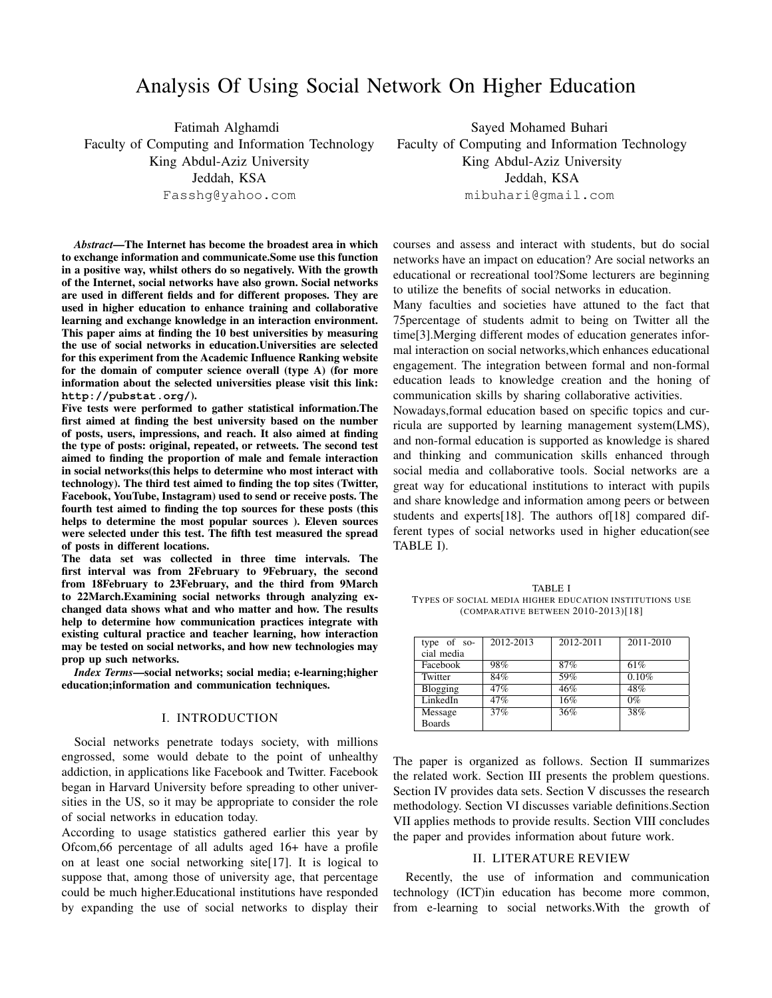# Analysis Of Using Social Network On Higher Education

Fatimah Alghamdi Faculty of Computing and Information Technology King Abdul-Aziz University Jeddah, KSA

Fasshg@yahoo.com

*Abstract*—The Internet has become the broadest area in which to exchange information and communicate.Some use this function in a positive way, whilst others do so negatively. With the growth of the Internet, social networks have also grown. Social networks are used in different fields and for different proposes. They are used in higher education to enhance training and collaborative learning and exchange knowledge in an interaction environment. This paper aims at finding the 10 best universities by measuring the use of social networks in education.Universities are selected for this experiment from the Academic Influence Ranking website for the domain of computer science overall (type A) (for more information about the selected universities please visit this link: **http://pubstat.org/**).

Five tests were performed to gather statistical information.The first aimed at finding the best university based on the number of posts, users, impressions, and reach. It also aimed at finding the type of posts: original, repeated, or retweets. The second test aimed to finding the proportion of male and female interaction in social networks(this helps to determine who most interact with technology). The third test aimed to finding the top sites (Twitter, Facebook, YouTube, Instagram) used to send or receive posts. The fourth test aimed to finding the top sources for these posts (this helps to determine the most popular sources ). Eleven sources were selected under this test. The fifth test measured the spread of posts in different locations.

The data set was collected in three time intervals. The first interval was from 2February to 9February, the second from 18February to 23February, and the third from 9March to 22March.Examining social networks through analyzing exchanged data shows what and who matter and how. The results help to determine how communication practices integrate with existing cultural practice and teacher learning, how interaction may be tested on social networks, and how new technologies may prop up such networks.

*Index Terms*—social networks; social media; e-learning;higher education;information and communication techniques.

## I. INTRODUCTION

Social networks penetrate todays society, with millions engrossed, some would debate to the point of unhealthy addiction, in applications like Facebook and Twitter. Facebook began in Harvard University before spreading to other universities in the US, so it may be appropriate to consider the role of social networks in education today.

According to usage statistics gathered earlier this year by Ofcom,66 percentage of all adults aged 16+ have a profile on at least one social networking site[17]. It is logical to suppose that, among those of university age, that percentage could be much higher.Educational institutions have responded by expanding the use of social networks to display their

Sayed Mohamed Buhari Faculty of Computing and Information Technology King Abdul-Aziz University Jeddah, KSA mibuhari@gmail.com

courses and assess and interact with students, but do social networks have an impact on education? Are social networks an educational or recreational tool?Some lecturers are beginning to utilize the benefits of social networks in education.

Many faculties and societies have attuned to the fact that 75percentage of students admit to being on Twitter all the time[3].Merging different modes of education generates informal interaction on social networks,which enhances educational engagement. The integration between formal and non-formal education leads to knowledge creation and the honing of communication skills by sharing collaborative activities.

Nowadays,formal education based on specific topics and curricula are supported by learning management system(LMS), and non-formal education is supported as knowledge is shared and thinking and communication skills enhanced through social media and collaborative tools. Social networks are a great way for educational institutions to interact with pupils and share knowledge and information among peers or between students and experts[18]. The authors of[18] compared different types of social networks used in higher education(see TABLE I).

TABLE I TYPES OF SOCIAL MEDIA HIGHER EDUCATION INSTITUTIONS USE (COMPARATIVE BETWEEN 2010-2013)[18]

| type of so-   | 2012-2013 | 2012-2011 | 2011-2010 |
|---------------|-----------|-----------|-----------|
| cial media    |           |           |           |
| Facebook      | 98%       | 87%       | 61%       |
| Twitter       | 84%       | 59%       | 0.10%     |
| Blogging      | 47%       | 46%       | 48%       |
| LinkedIn      | 47%       | 16%       | $0\%$     |
| Message       | 37%       | 36%       | 38%       |
| <b>Boards</b> |           |           |           |

The paper is organized as follows. Section II summarizes the related work. Section III presents the problem questions. Section IV provides data sets. Section V discusses the research methodology. Section VI discusses variable definitions.Section VII applies methods to provide results. Section VIII concludes the paper and provides information about future work.

## II. LITERATURE REVIEW

Recently, the use of information and communication technology (ICT)in education has become more common, from e-learning to social networks.With the growth of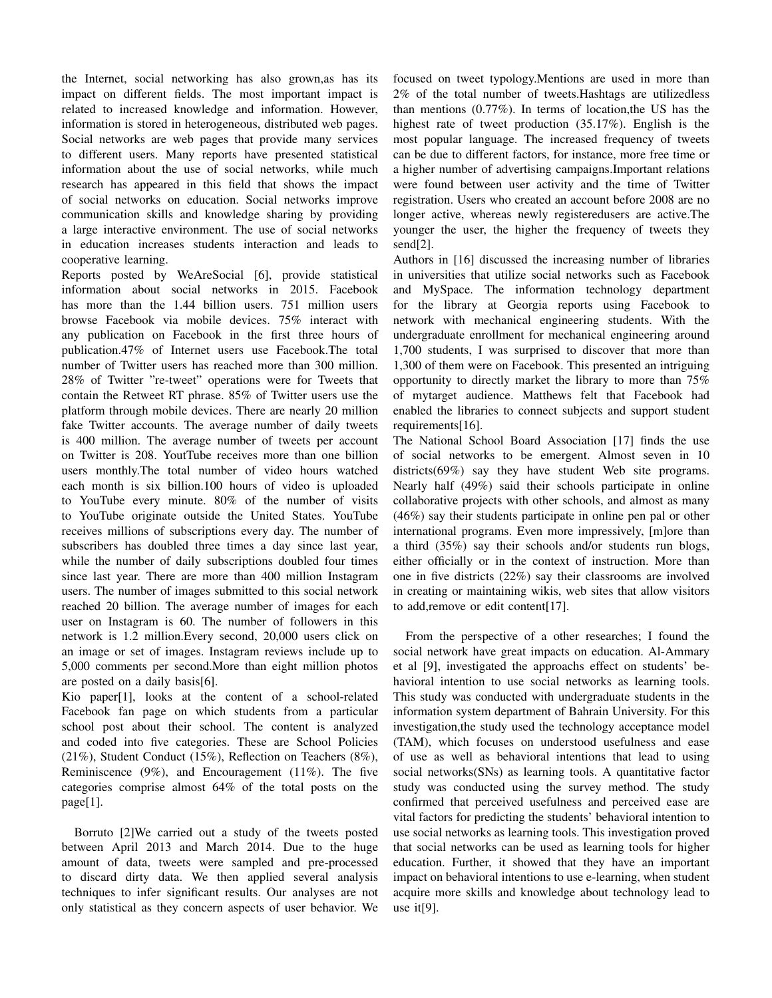the Internet, social networking has also grown,as has its impact on different fields. The most important impact is related to increased knowledge and information. However, information is stored in heterogeneous, distributed web pages. Social networks are web pages that provide many services to different users. Many reports have presented statistical information about the use of social networks, while much research has appeared in this field that shows the impact of social networks on education. Social networks improve communication skills and knowledge sharing by providing a large interactive environment. The use of social networks in education increases students interaction and leads to cooperative learning.

Reports posted by WeAreSocial [6], provide statistical information about social networks in 2015. Facebook has more than the 1.44 billion users. 751 million users browse Facebook via mobile devices. 75% interact with any publication on Facebook in the first three hours of publication.47% of Internet users use Facebook.The total number of Twitter users has reached more than 300 million. 28% of Twitter "re-tweet" operations were for Tweets that contain the Retweet RT phrase. 85% of Twitter users use the platform through mobile devices. There are nearly 20 million fake Twitter accounts. The average number of daily tweets is 400 million. The average number of tweets per account on Twitter is 208. YoutTube receives more than one billion users monthly.The total number of video hours watched each month is six billion.100 hours of video is uploaded to YouTube every minute. 80% of the number of visits to YouTube originate outside the United States. YouTube receives millions of subscriptions every day. The number of subscribers has doubled three times a day since last year, while the number of daily subscriptions doubled four times since last year. There are more than 400 million Instagram users. The number of images submitted to this social network reached 20 billion. The average number of images for each user on Instagram is 60. The number of followers in this network is 1.2 million.Every second, 20,000 users click on an image or set of images. Instagram reviews include up to 5,000 comments per second.More than eight million photos are posted on a daily basis[6].

Kio paper[1], looks at the content of a school-related Facebook fan page on which students from a particular school post about their school. The content is analyzed and coded into five categories. These are School Policies (21%), Student Conduct (15%), Reflection on Teachers (8%), Reminiscence (9%), and Encouragement (11%). The five categories comprise almost 64% of the total posts on the page[1].

Borruto [2]We carried out a study of the tweets posted between April 2013 and March 2014. Due to the huge amount of data, tweets were sampled and pre-processed to discard dirty data. We then applied several analysis techniques to infer significant results. Our analyses are not only statistical as they concern aspects of user behavior. We focused on tweet typology.Mentions are used in more than 2% of the total number of tweets.Hashtags are utilizedless than mentions (0.77%). In terms of location,the US has the highest rate of tweet production (35.17%). English is the most popular language. The increased frequency of tweets can be due to different factors, for instance, more free time or a higher number of advertising campaigns.Important relations were found between user activity and the time of Twitter registration. Users who created an account before 2008 are no longer active, whereas newly registeredusers are active.The younger the user, the higher the frequency of tweets they send[2].

Authors in [16] discussed the increasing number of libraries in universities that utilize social networks such as Facebook and MySpace. The information technology department for the library at Georgia reports using Facebook to network with mechanical engineering students. With the undergraduate enrollment for mechanical engineering around 1,700 students, I was surprised to discover that more than 1,300 of them were on Facebook. This presented an intriguing opportunity to directly market the library to more than 75% of mytarget audience. Matthews felt that Facebook had enabled the libraries to connect subjects and support student requirements[16].

The National School Board Association [17] finds the use of social networks to be emergent. Almost seven in 10 districts(69%) say they have student Web site programs. Nearly half (49%) said their schools participate in online collaborative projects with other schools, and almost as many (46%) say their students participate in online pen pal or other international programs. Even more impressively, [m]ore than a third (35%) say their schools and/or students run blogs, either officially or in the context of instruction. More than one in five districts (22%) say their classrooms are involved in creating or maintaining wikis, web sites that allow visitors to add,remove or edit content[17].

From the perspective of a other researches; I found the social network have great impacts on education. Al-Ammary et al [9], investigated the approachs effect on students' behavioral intention to use social networks as learning tools. This study was conducted with undergraduate students in the information system department of Bahrain University. For this investigation,the study used the technology acceptance model (TAM), which focuses on understood usefulness and ease of use as well as behavioral intentions that lead to using social networks(SNs) as learning tools. A quantitative factor study was conducted using the survey method. The study confirmed that perceived usefulness and perceived ease are vital factors for predicting the students' behavioral intention to use social networks as learning tools. This investigation proved that social networks can be used as learning tools for higher education. Further, it showed that they have an important impact on behavioral intentions to use e-learning, when student acquire more skills and knowledge about technology lead to use it[9].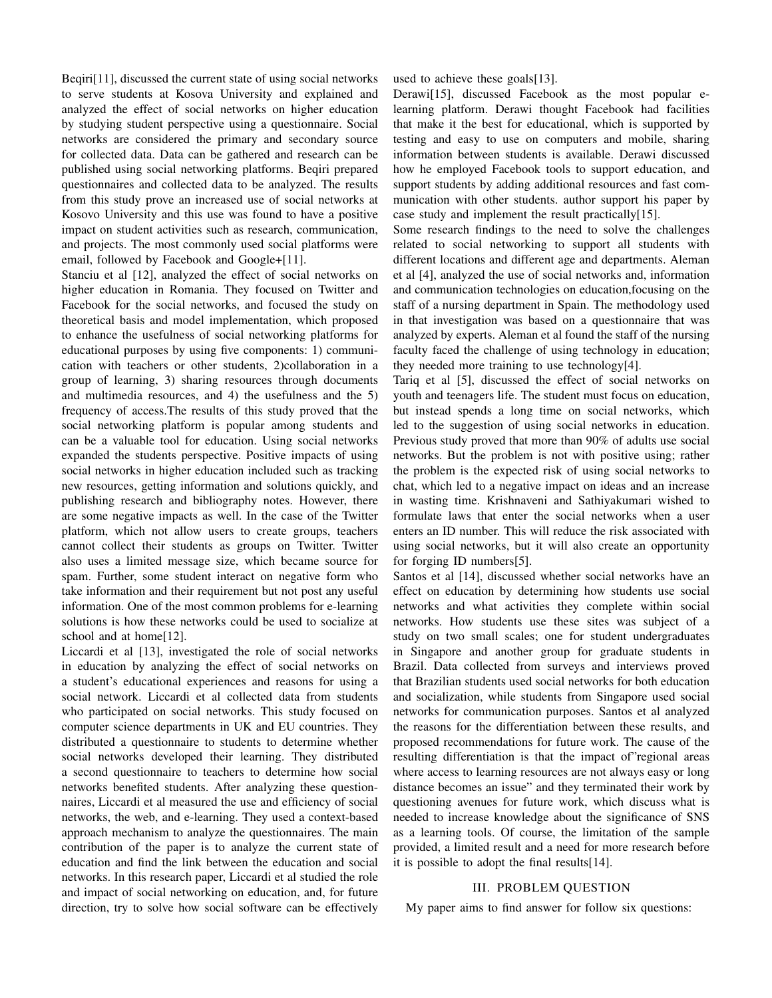Beqiri[11], discussed the current state of using social networks to serve students at Kosova University and explained and analyzed the effect of social networks on higher education by studying student perspective using a questionnaire. Social networks are considered the primary and secondary source for collected data. Data can be gathered and research can be published using social networking platforms. Beqiri prepared questionnaires and collected data to be analyzed. The results from this study prove an increased use of social networks at Kosovo University and this use was found to have a positive impact on student activities such as research, communication, and projects. The most commonly used social platforms were email, followed by Facebook and Google+[11].

Stanciu et al [12], analyzed the effect of social networks on higher education in Romania. They focused on Twitter and Facebook for the social networks, and focused the study on theoretical basis and model implementation, which proposed to enhance the usefulness of social networking platforms for educational purposes by using five components: 1) communication with teachers or other students, 2)collaboration in a group of learning, 3) sharing resources through documents and multimedia resources, and 4) the usefulness and the 5) frequency of access.The results of this study proved that the social networking platform is popular among students and can be a valuable tool for education. Using social networks expanded the students perspective. Positive impacts of using social networks in higher education included such as tracking new resources, getting information and solutions quickly, and publishing research and bibliography notes. However, there are some negative impacts as well. In the case of the Twitter platform, which not allow users to create groups, teachers cannot collect their students as groups on Twitter. Twitter also uses a limited message size, which became source for spam. Further, some student interact on negative form who take information and their requirement but not post any useful information. One of the most common problems for e-learning solutions is how these networks could be used to socialize at school and at home[12].

Liccardi et al [13], investigated the role of social networks in education by analyzing the effect of social networks on a student's educational experiences and reasons for using a social network. Liccardi et al collected data from students who participated on social networks. This study focused on computer science departments in UK and EU countries. They distributed a questionnaire to students to determine whether social networks developed their learning. They distributed a second questionnaire to teachers to determine how social networks benefited students. After analyzing these questionnaires, Liccardi et al measured the use and efficiency of social networks, the web, and e-learning. They used a context-based approach mechanism to analyze the questionnaires. The main contribution of the paper is to analyze the current state of education and find the link between the education and social networks. In this research paper, Liccardi et al studied the role and impact of social networking on education, and, for future direction, try to solve how social software can be effectively used to achieve these goals[13].

Derawi[15], discussed Facebook as the most popular elearning platform. Derawi thought Facebook had facilities that make it the best for educational, which is supported by testing and easy to use on computers and mobile, sharing information between students is available. Derawi discussed how he employed Facebook tools to support education, and support students by adding additional resources and fast communication with other students. author support his paper by case study and implement the result practically[15].

Some research findings to the need to solve the challenges related to social networking to support all students with different locations and different age and departments. Aleman et al [4], analyzed the use of social networks and, information and communication technologies on education,focusing on the staff of a nursing department in Spain. The methodology used in that investigation was based on a questionnaire that was analyzed by experts. Aleman et al found the staff of the nursing faculty faced the challenge of using technology in education; they needed more training to use technology[4].

Tariq et al [5], discussed the effect of social networks on youth and teenagers life. The student must focus on education, but instead spends a long time on social networks, which led to the suggestion of using social networks in education. Previous study proved that more than 90% of adults use social networks. But the problem is not with positive using; rather the problem is the expected risk of using social networks to chat, which led to a negative impact on ideas and an increase in wasting time. Krishnaveni and Sathiyakumari wished to formulate laws that enter the social networks when a user enters an ID number. This will reduce the risk associated with using social networks, but it will also create an opportunity for forging ID numbers[5].

Santos et al [14], discussed whether social networks have an effect on education by determining how students use social networks and what activities they complete within social networks. How students use these sites was subject of a study on two small scales; one for student undergraduates in Singapore and another group for graduate students in Brazil. Data collected from surveys and interviews proved that Brazilian students used social networks for both education and socialization, while students from Singapore used social networks for communication purposes. Santos et al analyzed the reasons for the differentiation between these results, and proposed recommendations for future work. The cause of the resulting differentiation is that the impact of"regional areas where access to learning resources are not always easy or long distance becomes an issue" and they terminated their work by questioning avenues for future work, which discuss what is needed to increase knowledge about the significance of SNS as a learning tools. Of course, the limitation of the sample provided, a limited result and a need for more research before it is possible to adopt the final results[14].

# III. PROBLEM QUESTION

My paper aims to find answer for follow six questions: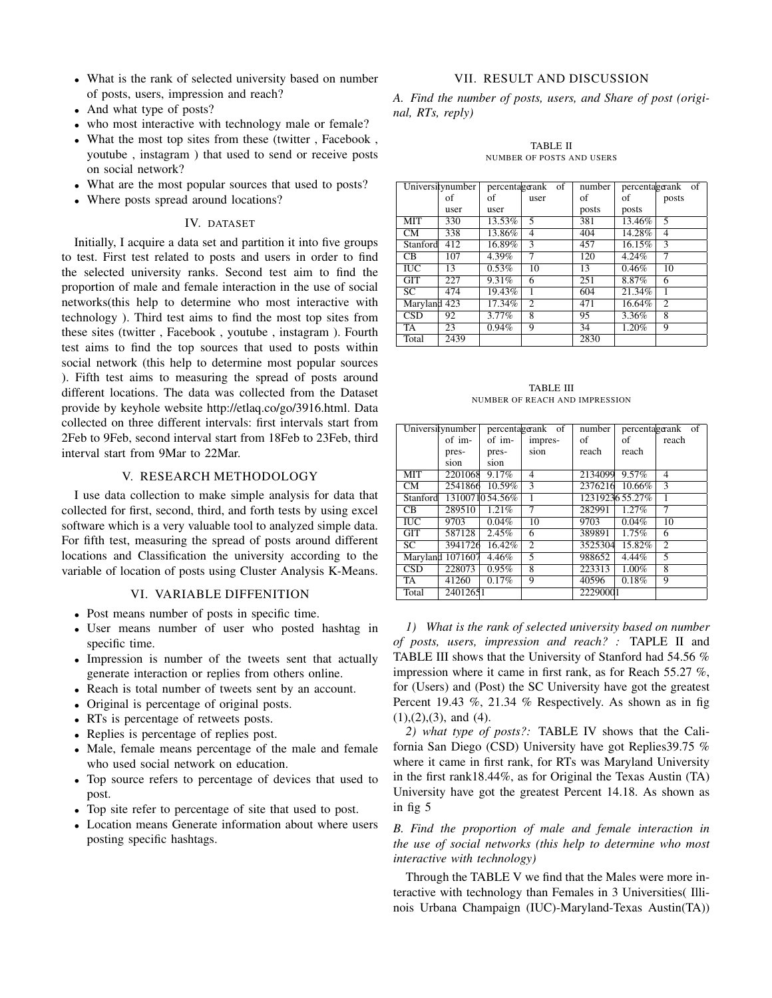- What is the rank of selected university based on number of posts, users, impression and reach?
- And what type of posts?
- who most interactive with technology male or female?
- What the most top sites from these (twitter , Facebook , youtube , instagram ) that used to send or receive posts on social network?
- What are the most popular sources that used to posts?
- Where posts spread around locations?

## IV. DATASET

Initially, I acquire a data set and partition it into five groups to test. First test related to posts and users in order to find the selected university ranks. Second test aim to find the proportion of male and female interaction in the use of social networks(this help to determine who most interactive with technology ). Third test aims to find the most top sites from these sites (twitter , Facebook , youtube , instagram ). Fourth test aims to find the top sources that used to posts within social network (this help to determine most popular sources ). Fifth test aims to measuring the spread of posts around different locations. The data was collected from the Dataset provide by keyhole website http://etlaq.co/go/3916.html. Data collected on three different intervals: first intervals start from 2Feb to 9Feb, second interval start from 18Feb to 23Feb, third interval start from 9Mar to 22Mar.

# V. RESEARCH METHODOLOGY

I use data collection to make simple analysis for data that collected for first, second, third, and forth tests by using excel software which is a very valuable tool to analyzed simple data. For fifth test, measuring the spread of posts around different locations and Classification the university according to the variable of location of posts using Cluster Analysis K-Means.

## VI. VARIABLE DIFFENITION

- Post means number of posts in specific time.
- User means number of user who posted hashtag in specific time.
- Impression is number of the tweets sent that actually generate interaction or replies from others online.
- Reach is total number of tweets sent by an account.
- Original is percentage of original posts.
- RTs is percentage of retweets posts.
- Replies is percentage of replies post.
- Male, female means percentage of the male and female who used social network on education.
- Top source refers to percentage of devices that used to post.
- Top site refer to percentage of site that used to post.
- Location means Generate information about where users posting specific hashtags.

# VII. RESULT AND DISCUSSION

*A. Find the number of posts, users, and Share of post (original, RTs, reply)*

TABLE II NUMBER OF POSTS AND USERS

| Universitynumber |      |          | percentagerank of | number |          | percentagerank of |
|------------------|------|----------|-------------------|--------|----------|-------------------|
|                  | of   | of       | user              | οf     | οf       | posts             |
|                  | user | user     |                   | posts  | posts    |                   |
| <b>MIT</b>       | 330  | 13.53%   | 5                 | 381    | 13.46%   | 5                 |
| <b>CM</b>        | 338  | 13.86%   | 4                 | 404    | 14.28%   | $\overline{4}$    |
| Stanford         | 412  | 16.89%   | 3                 | 457    | 16.15%   | $\mathbf{3}$      |
| CB.              | 107  | 4.39%    | 7                 | 120    | $4.24\%$ | 7                 |
| <b>IUC</b>       | 13   | $0.53\%$ | 10                | 13     | 0.46%    | 10                |
| GIT              | 227  | 9.31%    | 6                 | 251    | 8.87%    | 6                 |
| SC.              | 474  | 19.43%   |                   | 604    | 21.34%   |                   |
| Maryland 423     |      | 17.34%   | $\overline{c}$    | 471    | 16.64%   | $\overline{c}$    |
| <b>CSD</b>       | 92   | $3.77\%$ | 8                 | 95     | 3.36%    | 8                 |
| TA               | 23   | 0.94%    | 9                 | 34     | 1.20%    | 9                 |
| Total            | 2439 |          |                   | 2830   |          |                   |

TABLE III NUMBER OF REACH AND IMPRESSION

|                         | Universitynumber |                | percentagerank of | number            |                | percentagerank of        |
|-------------------------|------------------|----------------|-------------------|-------------------|----------------|--------------------------|
|                         | of im-           | of im-         | impres-           | οf                | of             | reach                    |
|                         | pres-            | pres-          | sion              | reach             | reach          |                          |
|                         | sion             | sion           |                   |                   |                |                          |
| <b>MIT</b>              | 2201068          | 9.17%          | $\overline{4}$    | 2134099           | $9.57\%$       | $\overline{\mathcal{A}}$ |
| <b>CM</b>               | 2541866          | 10.59%         | $\mathcal{R}$     | 2376216           | 10.66%         | $\mathcal{F}$            |
| Stanford                |                  | 1310071054.56% | $\mathbf{1}$      |                   | 1231923655.27% | 1                        |
| CB.                     | 289510           | $1.21\%$       | 7                 | 282991            | $1.27\%$       | 7                        |
| $\overline{\text{IUC}}$ | 9703             | $0.04\%$       | $\overline{10}$   | $\overline{9703}$ | $0.04\%$       | $\overline{10}$          |
| GIT                     | 587128           | 2.45%          | 6                 | 389891            | 1.75%          | 6                        |
| SC                      | 3941726          | 16.42%         | $\overline{2}$    | 3525304           | 15.82%         | 2                        |
|                         | Maryland 1071607 | 4.46%          | 5                 | 988652            | 4.44%          | 5                        |
| $\overline{\text{CSD}}$ | 228073           | 0.95%          | 8                 | 223313            | 1.00%          | 8                        |
| TA                      | 41260            | 0.17%          | 9                 | 40596             | 0.18%          | 9                        |
| Total                   | 24012651         |                |                   | 22290001          |                |                          |

*1) What is the rank of selected university based on number of posts, users, impression and reach? :* TAPLE II and TABLE III shows that the University of Stanford had 54.56 % impression where it came in first rank, as for Reach 55.27 %, for (Users) and (Post) the SC University have got the greatest Percent 19.43 %, 21.34 % Respectively. As shown as in fig  $(1), (2), (3),$  and  $(4)$ .

*2) what type of posts?:* TABLE IV shows that the California San Diego (CSD) University have got Replies39.75 % where it came in first rank, for RTs was Maryland University in the first rank18.44%, as for Original the Texas Austin (TA) University have got the greatest Percent 14.18. As shown as in fig 5

*B. Find the proportion of male and female interaction in the use of social networks (this help to determine who most interactive with technology)*

Through the TABLE V we find that the Males were more interactive with technology than Females in 3 Universities( Illinois Urbana Champaign (IUC)-Maryland-Texas Austin(TA))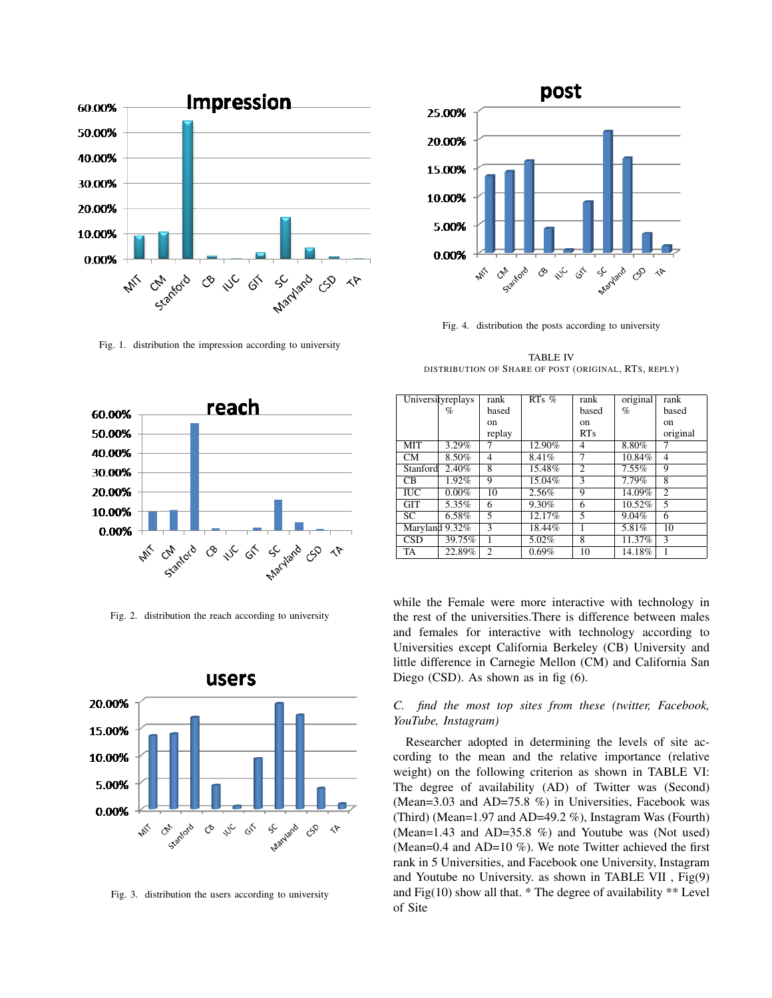

Fig. 1. distribution the impression according to university



Fig. 2. distribution the reach according to university



Fig. 3. distribution the users according to university



Fig. 4. distribution the posts according to university

TABLE IV DISTRIBUTION OF SHARE OF POST (ORIGINAL, RTS, REPLY)

|                         | Universityreplays   | rank           | $RTs$ % | rank           | original | rank           |
|-------------------------|---------------------|----------------|---------|----------------|----------|----------------|
|                         | %                   | based          |         | based          | $\%$     | based          |
|                         |                     | on             |         | on             |          | on             |
|                         |                     | replay         |         | RTs            |          | original       |
| <b>MIT</b>              | 3.29%               |                | 12.90%  | 4              | 8.80%    | 7              |
| <b>CM</b>               | 8.50%               | $\overline{4}$ | 8.41%   | 7              | 10.84%   | $\overline{4}$ |
| Stanford                | 2.40%               | 8              | 15.48%  | $\overline{c}$ | 7.55%    | 9              |
| C <sub>B</sub>          | 1.92%               | 9              | 15.04%  | 3              | 7.79%    | 8              |
| $\overline{\text{IUC}}$ | $0.00\%$            | 10             | 2.56%   | 9              | 14.09%   | $\overline{c}$ |
| <b>GIT</b>              | $\overline{5.35\%}$ | 6              | 9.30%   | 6              | 10.52%   | 5              |
| $\overline{SC}$         | $6.58\%$            | 5              | 12.17%  | 5              | 9.04%    | 6              |
| Maryland 9.32%          |                     | $\mathcal{F}$  | 18.44%  |                | 5.81%    | 10             |
| <b>CSD</b>              | 39.75%              |                | 5.02%   | 8              | 11.37%   | 3              |
| <b>TA</b>               | 22.89%              | $\overline{c}$ | 0.69%   | 10             | 14.18%   |                |

while the Female were more interactive with technology in the rest of the universities.There is difference between males and females for interactive with technology according to Universities except California Berkeley (CB) University and little difference in Carnegie Mellon (CM) and California San Diego (CSD). As shown as in fig (6).

# *C. find the most top sites from these (twitter, Facebook, YouTube, Instagram)*

Researcher adopted in determining the levels of site according to the mean and the relative importance (relative weight) on the following criterion as shown in TABLE VI: The degree of availability (AD) of Twitter was (Second) (Mean=3.03 and AD=75.8 %) in Universities, Facebook was (Third) (Mean=1.97 and AD=49.2 %), Instagram Was (Fourth) (Mean=1.43 and AD=35.8 %) and Youtube was (Not used) (Mean=0.4 and AD=10 %). We note Twitter achieved the first rank in 5 Universities, and Facebook one University, Instagram and Youtube no University. as shown in TABLE VII , Fig(9) and Fig(10) show all that. \* The degree of availability \*\* Level of Site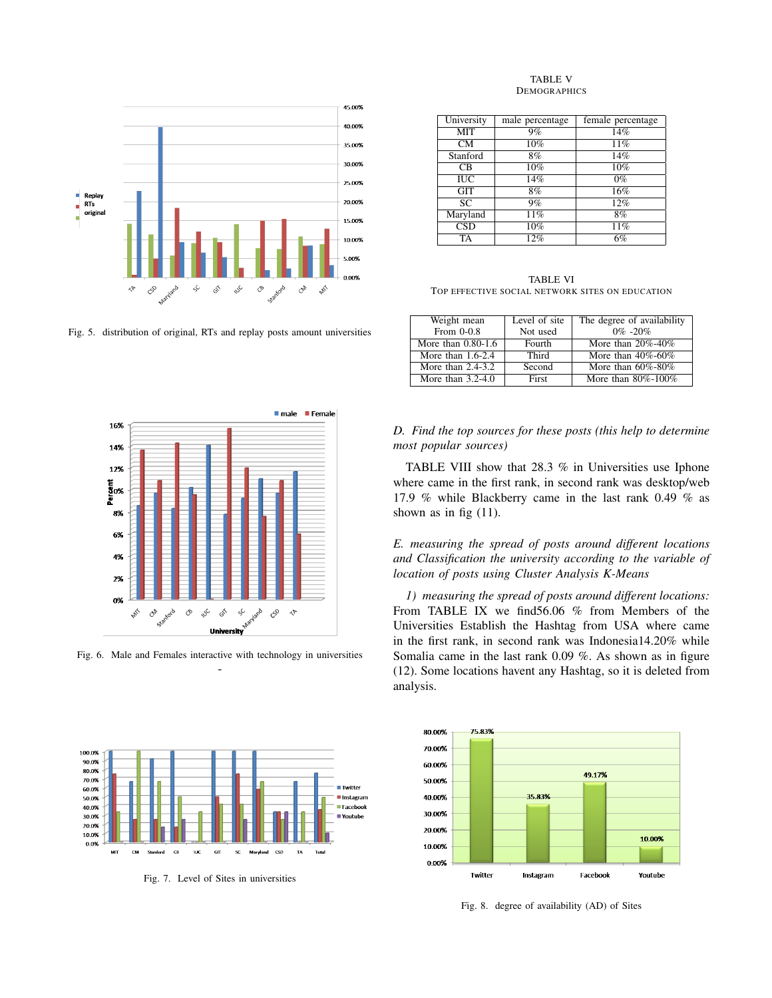

Fig. 5. distribution of original, RTs and replay posts amount universities



Fig. 6. Male and Females interactive with technology in universities -



Fig. 7. Level of Sites in universities

#### TABLE V **DEMOGRAPHICS**

| University              | male percentage   | female percentage |
|-------------------------|-------------------|-------------------|
| <b>MIT</b>              | 9%                | 14%               |
| CМ                      | 10%               | 11%               |
| Stanford                | 8%                | 14%               |
| C <sub>B</sub>          | 10%               | 10%               |
| IUC                     | 14%               | $0\%$             |
| <b>GIT</b>              | 8%                | 16%               |
| <b>SC</b>               | 9%                | 12%               |
| Maryland                | $\overline{11\%}$ | 8%                |
| $\overline{\text{CSD}}$ | $\overline{10\%}$ | 11%               |
| TA                      | $\overline{12\%}$ | 6%                |

TABLE VI TOP EFFECTIVE SOCIAL NETWORK SITES ON EDUCATION

| Weight mean           | Level of site | The degree of availability |
|-----------------------|---------------|----------------------------|
| From 0-0.8            | Not used      | $0\% - 20\%$               |
| More than $0.80-1.6$  | Fourth        | More than $20\% - 40\%$    |
| More than $1.6-2.4$   | Third         | More than $40\% - 60\%$    |
| More than $2.4 - 3.2$ | Second        | More than $60\% - 80\%$    |
| More than $3.2-4.0$   | First         | More than $80\% - 100\%$   |

# *D. Find the top sources for these posts (this help to determine most popular sources)*

TABLE VIII show that 28.3 % in Universities use Iphone where came in the first rank, in second rank was desktop/web 17.9 % while Blackberry came in the last rank 0.49 % as shown as in fig (11).

*E. measuring the spread of posts around different locations and Classification the university according to the variable of location of posts using Cluster Analysis K-Means*

*1) measuring the spread of posts around different locations:* From TABLE IX we find56.06 % from Members of the Universities Establish the Hashtag from USA where came in the first rank, in second rank was Indonesia14.20% while Somalia came in the last rank 0.09 %. As shown as in figure (12). Some locations havent any Hashtag, so it is deleted from analysis.



Fig. 8. degree of availability (AD) of Sites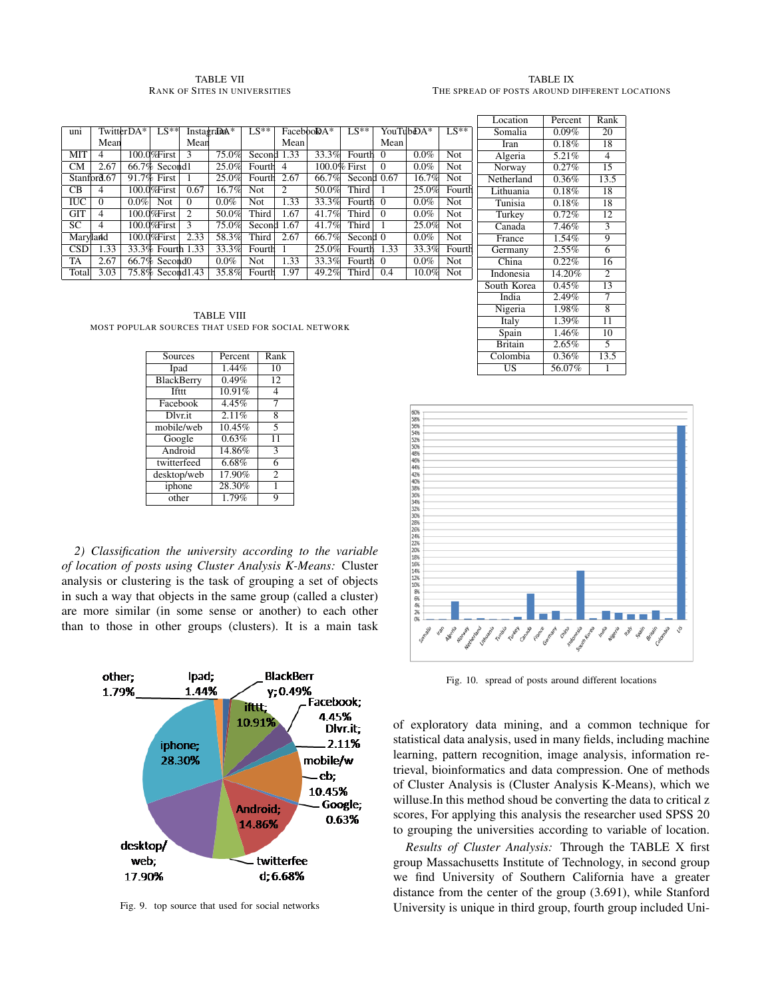## TABLE VII RANK OF SITES IN UNIVERSITIES

#### TABLE IX THE SPREAD OF POSTS AROUND DIFFERENT LOCATIONS

|            |             |            |                              |               |                         |             |                |                     |              |          |           |            | Location  |
|------------|-------------|------------|------------------------------|---------------|-------------------------|-------------|----------------|---------------------|--------------|----------|-----------|------------|-----------|
| uni        |             | TwitterDA* | $LS**$                       |               | Instagrada <sup>*</sup> | $LS**$      |                | Faceboo <b>DA</b> * | $LS**$       |          | YouTubDA* | $LS**$     | Somalia   |
|            | Mean        |            |                              | Mean          |                         |             | Mean           |                     |              | Mean     |           |            | Iran      |
| MIT        | 4           |            | $100.0\%$ First              | $\mathcal{F}$ | 75.0%                   | Second 1.33 |                | 33.3%               | Fourth 0     |          | $0.0\%$   | <b>Not</b> | Algeria   |
| <b>CM</b>  | 2.67        |            | $66.7\%$ Second 1            |               | 25.0%                   | Fourth      | $\overline{4}$ |                     | 100.0% First | $\Omega$ | $0.0\%$   | Not        | Norway    |
|            | Stanford.67 |            | 91.7% First                  |               | 25.0%                   | Fourth      | 2.67           | 66.7%               | Second 0.67  |          | 16.7%     | <b>Not</b> | Netherlan |
| CB         | 4           |            | 100.0%First                  | 0.67          | 16.7%                   | Not         | 2              | 50.0%               | Third        |          | 25.0%     | Fourth     | Lithuania |
| <b>IUC</b> | $\Omega$    | $0.0\%$    | <b>Not</b>                   | $\Omega$      | $0.0\%$                 | Not         | 1.33           | 33.3%               | Fourth 0     |          | $0.0\%$   | Not        | Tunisia   |
| <b>GIT</b> | 4           |            | 100.0%First                  | $\mathcal{L}$ | 50.0%                   | Third       | 1.67           | 41.7%               | Third        | $\Omega$ | $0.0\%$   | Not        | Turkey    |
| SC         | 4           |            | 100.0%First                  | $\mathcal{F}$ | 75.0%                   | Second 1.67 |                | 41.7%               | Third        |          | 25.0%     | <b>Not</b> | Canada    |
|            | Marvland    |            | $100.0\%$ First              | 2.33          | 58.3%                   | Third       | 2.67           | 66.7%               | Second 0     |          | $0.0\%$   | <b>Not</b> | France    |
| <b>CSD</b> | 1.33        |            | 33.3% Fourth 1.33            |               | 33.3%                   | Fourth      |                | 25.0%               | Fourth       | 1.33     | 33.3%     | Fourth     | Germany   |
| TA         | 2.67        |            | $66.7\%$ Second <sub>0</sub> |               | $0.0\%$                 | <b>Not</b>  | 1.33           | 33.3%               | Fourth 0     |          | $0.0\%$   | <b>Not</b> | China     |
| Total      | 3.03        |            | 75.8% Second 1.43            |               | 35.8%                   | Fourth      | 1.97           | 49.2%               | Third        | 0.4      | 10.0%     | <b>Not</b> | Indonesia |
|            |             |            |                              |               |                         |             |                |                     |              |          |           |            |           |

TABLE VIII MOST POPULAR SOURCES THAT USED FOR SOCIAL NETWORK

| Sources                      | Percent | Rank                    |
|------------------------------|---------|-------------------------|
| Ipad                         | 1.44%   | 10                      |
| BlackBerry                   | 0.49%   | 12                      |
| <b>Tfttt</b>                 | 10.91%  | 4                       |
| Facebook                     | 4.45%   |                         |
| $\overline{\text{Dlv}}$ r.it | 2.11%   | 8                       |
| mobile/web                   | 10.45%  | $\overline{\mathbf{5}}$ |
| Google                       | 0.63%   | 11                      |
| Android                      | 14.86%  | 3                       |
| twitterfeed                  | 6.68%   | 6                       |
| desktop/web                  | 17.90%  | $\overline{c}$          |
| iphone                       | 28.30%  | 1                       |
| other                        | 1.79%   | 9                       |

*2) Classification the university according to the variable of location of posts using Cluster Analysis K-Means:* Cluster analysis or clustering is the task of grouping a set of objects in such a way that objects in the same group (called a cluster) are more similar (in some sense or another) to each other than to those in other groups (clusters). It is a main task



Fig. 9. top source that used for social networks

| Location       | Percent             | Rank              |
|----------------|---------------------|-------------------|
| Somalia        | $0.09\%$            | 20                |
| Iran           | 0.18%               | 18                |
| Algeria        | 5.21%               | $\overline{4}$    |
| Norway         | 0.27%               | $1\overline{5}$   |
| Netherland     | 0.36%               | 13.5              |
| Lithuania      | 0.18%               | 18                |
| Tunisia        | $\overline{0.18}\%$ | 18                |
| Turkey         | 0.72%               | $\overline{12}$   |
| Canada         | 7.46%               | $\overline{3}$    |
| France         | $1.54\%$            | $\overline{9}$    |
| Germany        | 2.55%               | $\overline{6}$    |
| China          | $0.22\%$            | 16                |
| Indonesia      | 14.20%              | $\overline{2}$    |
| South Korea    | 0.45%               | $\overline{13}$   |
| India          | 2.49%               | $\overline{\tau}$ |
| Nigeria        | 1.98%               | $\overline{8}$    |
| Italy          | 1.39%               | $\overline{11}$   |
| Spain          | 1.46%               | 10                |
| <b>Britain</b> | 2.65%               | 5                 |
| Colombia       | 0.36%               | 13.5              |
| US             | 56.07%              | 1                 |



Fig. 10. spread of posts around different locations

of exploratory data mining, and a common technique for statistical data analysis, used in many fields, including machine learning, pattern recognition, image analysis, information retrieval, bioinformatics and data compression. One of methods of Cluster Analysis is (Cluster Analysis K-Means), which we willuse.In this method shoud be converting the data to critical z scores, For applying this analysis the researcher used SPSS 20 to grouping the universities according to variable of location.

*Results of Cluster Analysis:* Through the TABLE X first group Massachusetts Institute of Technology, in second group we find University of Southern California have a greater distance from the center of the group (3.691), while Stanford University is unique in third group, fourth group included Uni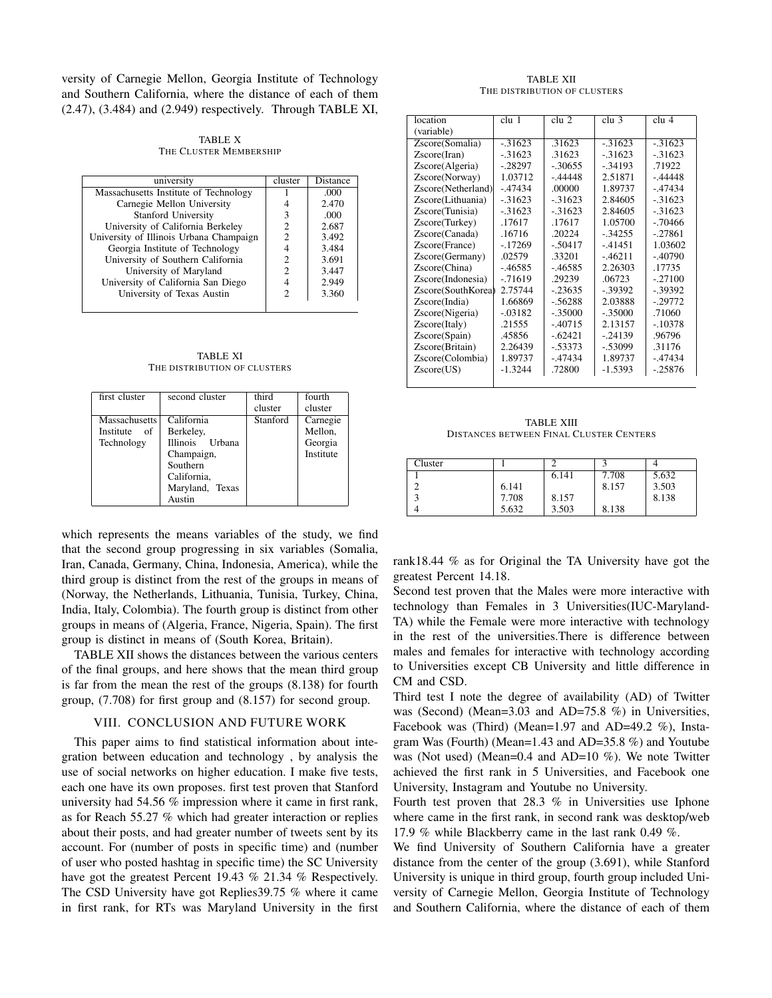versity of Carnegie Mellon, Georgia Institute of Technology and Southern California, where the distance of each of them (2.47), (3.484) and (2.949) respectively. Through TABLE XI,

TABLE X THE CLUSTER MEMBERSHIP

| university                              | cluster | <b>Distance</b> |
|-----------------------------------------|---------|-----------------|
| Massachusetts Institute of Technology   |         | .000            |
| Carnegie Mellon University              |         | 2.470           |
| <b>Stanford University</b>              | 3       | .000            |
| University of California Berkeley       |         | 2.687           |
| University of Illinois Urbana Champaign | 2       | 3.492           |
| Georgia Institute of Technology         |         | 3.484           |
| University of Southern California       | 2       | 3.691           |
| University of Maryland                  | 2       | 3.447           |
| University of California San Diego      |         | 2.949           |
| University of Texas Austin              | っ       | 3.360           |
|                                         |         |                 |

TABLE XI THE DISTRIBUTION OF CLUSTERS

| first cluster        | second cluster  | third    | fourth    |
|----------------------|-----------------|----------|-----------|
|                      |                 | cluster  | cluster   |
| <b>Massachusetts</b> | California      | Stanford | Carnegie  |
| Institute of         | Berkeley,       |          | Mellon.   |
| Technology           | Illinois Urbana |          | Georgia   |
|                      | Champaign,      |          | Institute |
|                      | Southern        |          |           |
|                      | California,     |          |           |
|                      | Maryland, Texas |          |           |
|                      | Austin          |          |           |

which represents the means variables of the study, we find that the second group progressing in six variables (Somalia, Iran, Canada, Germany, China, Indonesia, America), while the third group is distinct from the rest of the groups in means of (Norway, the Netherlands, Lithuania, Tunisia, Turkey, China, India, Italy, Colombia). The fourth group is distinct from other groups in means of (Algeria, France, Nigeria, Spain). The first group is distinct in means of (South Korea, Britain).

TABLE XII shows the distances between the various centers of the final groups, and here shows that the mean third group is far from the mean the rest of the groups (8.138) for fourth group, (7.708) for first group and (8.157) for second group.

## VIII. CONCLUSION AND FUTURE WORK

This paper aims to find statistical information about integration between education and technology , by analysis the use of social networks on higher education. I make five tests, each one have its own proposes. first test proven that Stanford university had 54.56 % impression where it came in first rank, as for Reach 55.27 % which had greater interaction or replies about their posts, and had greater number of tweets sent by its account. For (number of posts in specific time) and (number of user who posted hashtag in specific time) the SC University have got the greatest Percent 19.43 % 21.34 % Respectively. The CSD University have got Replies39.75 % where it came in first rank, for RTs was Maryland University in the first

#### TABLE XII THE DISTRIBUTION OF CLUSTERS

| location           | clu 1      | clu 2      | clu <sub>3</sub> | clu 4      |
|--------------------|------------|------------|------------------|------------|
| (variable)         |            |            |                  |            |
| Zscore(Somalia)    | $-0.31623$ | .31623     | $-31623$         | $-31623$   |
| Zscore(Iran)       | $-0.31623$ | .31623     | $-0.31623$       | $-.31623$  |
| Zscore(Algeria)    | $-.28297$  | $-30655$   | $-.34193$        | .71922     |
| Zscore(Norway)     | 1.03712    | -.44448    | 2.51871          | -.44448    |
| Zscore(Netherland) | $-47434$   | .00000     | 1.89737          | $-47434$   |
| Zscore(Lithuania)  | $-0.31623$ | $-31623$   | 2.84605          | $-.31623$  |
| Zscore(Tunisia)    | $-0.31623$ | $-0.31623$ | 2.84605          | $-0.31623$ |
| Zscore(Turkey)     | .17617     | .17617     | 1.05700          | -.70466    |
| Zscore(Canada)     | .16716     | .20224     | $-.34255$        | -.27861    |
| Zscore(France)     | $-17269$   | $-.50417$  | $-41451$         | 1.03602    |
| Zscore(Germany)    | .02579     | .33201     | $-46211$         | $-.40790$  |
| Zscore(China)      | $-46585$   | $-46585$   | 2.26303          | .17735     |
| Zscore(Indonesia)  | $-71619$   | .29239     | .06723           | $-.27100$  |
| Zscore(SouthKorea) | 2.75744    | $-23635$   | -.39392          | -.39392    |
| Zscore(India)      | 1.66869    | $-.56288$  | 2.03888          | -.29772    |
| Zscore(Nigeria)    | $-.03182$  | $-.35000$  | $-.35000$        | .71060     |
| Zscore(Italy)      | .21555     | $-40715$   | 2.13157          | $-.10378$  |
| Zscore(Spain)      | .45856     | $-62421$   | $-.24139$        | .96796     |
| Zscore(Britain)    | 2.26439    | -.53373    | $-.53099$        | .31176     |
| Zscore(Colombia)   | 1.89737    | -.47434    | 1.89737          | -.47434    |
| Zscore(US)         | $-1.3244$  | .72800     | $-1.5393$        | -.25876    |
|                    |            |            |                  |            |

TABLE XIII DISTANCES BETWEEN FINAL CLUSTER CENTERS

| Cluster |       |       |       |       |
|---------|-------|-------|-------|-------|
|         |       | 6.141 | 7.708 | 5.632 |
|         | 6.141 |       | 8.157 | 3.503 |
|         | 7.708 | 8.157 |       | 8.138 |
|         | 5.632 | 3.503 | 8.138 |       |

rank18.44 % as for Original the TA University have got the greatest Percent 14.18.

Second test proven that the Males were more interactive with technology than Females in 3 Universities(IUC-Maryland-TA) while the Female were more interactive with technology in the rest of the universities.There is difference between males and females for interactive with technology according to Universities except CB University and little difference in CM and CSD.

Third test I note the degree of availability (AD) of Twitter was (Second) (Mean=3.03 and AD=75.8 %) in Universities, Facebook was (Third) (Mean=1.97 and AD=49.2 %), Instagram Was (Fourth) (Mean=1.43 and AD=35.8 %) and Youtube was (Not used) (Mean=0.4 and AD=10 %). We note Twitter achieved the first rank in 5 Universities, and Facebook one University, Instagram and Youtube no University.

Fourth test proven that 28.3 % in Universities use Iphone where came in the first rank, in second rank was desktop/web 17.9 % while Blackberry came in the last rank 0.49 %.

We find University of Southern California have a greater distance from the center of the group (3.691), while Stanford University is unique in third group, fourth group included University of Carnegie Mellon, Georgia Institute of Technology and Southern California, where the distance of each of them